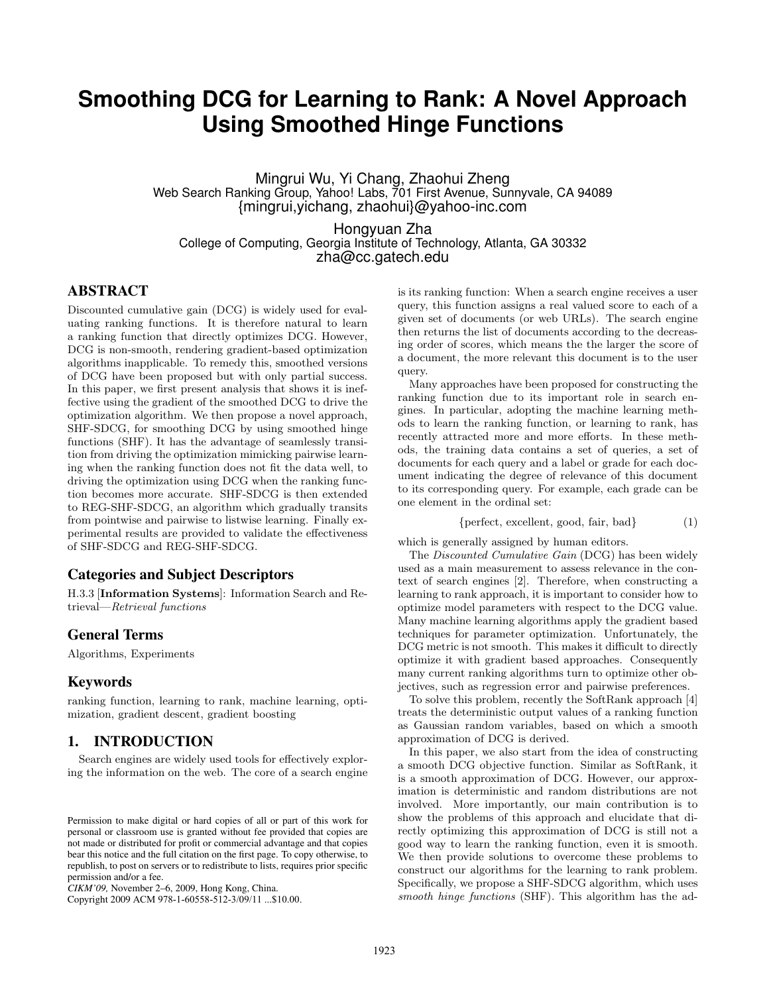# **Smoothing DCG for Learning to Rank: A Novel Approach Using Smoothed Hinge Functions**

Mingrui Wu, Yi Chang, Zhaohui Zheng Web Search Ranking Group, Yahoo! Labs, 701 First Avenue, Sunnyvale, CA 94089 {mingrui,yichang, zhaohui}@yahoo-inc.com

Hongyuan Zha College of Computing, Georgia Institute of Technology, Atlanta, GA 30332 zha@cc.gatech.edu

# ABSTRACT

Discounted cumulative gain (DCG) is widely used for evaluating ranking functions. It is therefore natural to learn a ranking function that directly optimizes DCG. However, DCG is non-smooth, rendering gradient-based optimization algorithms inapplicable. To remedy this, smoothed versions of DCG have been proposed but with only partial success. In this paper, we first present analysis that shows it is ineffective using the gradient of the smoothed DCG to drive the optimization algorithm. We then propose a novel approach, SHF-SDCG, for smoothing DCG by using smoothed hinge functions (SHF). It has the advantage of seamlessly transition from driving the optimization mimicking pairwise learning when the ranking function does not fit the data well, to driving the optimization using DCG when the ranking function becomes more accurate. SHF-SDCG is then extended to REG-SHF-SDCG, an algorithm which gradually transits from pointwise and pairwise to listwise learning. Finally experimental results are provided to validate the effectiveness of SHF-SDCG and REG-SHF-SDCG.

#### Categories and Subject Descriptors

H.3.3 [Information Systems]: Information Search and Retrieval—Retrieval functions

## General Terms

Algorithms, Experiments

## Keywords

ranking function, learning to rank, machine learning, optimization, gradient descent, gradient boosting

# 1. INTRODUCTION

Search engines are widely used tools for effectively exploring the information on the web. The core of a search engine

Copyright 2009 ACM 978-1-60558-512-3/09/11 ...\$10.00.

is its ranking function: When a search engine receives a user query, this function assigns a real valued score to each of a given set of documents (or web URLs). The search engine then returns the list of documents according to the decreasing order of scores, which means the the larger the score of a document, the more relevant this document is to the user query.

Many approaches have been proposed for constructing the ranking function due to its important role in search engines. In particular, adopting the machine learning methods to learn the ranking function, or learning to rank, has recently attracted more and more efforts. In these methods, the training data contains a set of queries, a set of documents for each query and a label or grade for each document indicating the degree of relevance of this document to its corresponding query. For example, each grade can be one element in the ordinal set:

$$
\{perfect, excellent, good, fair, bad\} \tag{1}
$$

which is generally assigned by human editors.

The *Discounted Cumulative Gain* (DCG) has been widely used as a main measurement to assess relevance in the context of search engines [2]. Therefore, when constructing a learning to rank approach, it is important to consider how to optimize model parameters with respect to the DCG value. Many machine learning algorithms apply the gradient based techniques for parameter optimization. Unfortunately, the DCG metric is not smooth. This makes it difficult to directly optimize it with gradient based approaches. Consequently many current ranking algorithms turn to optimize other objectives, such as regression error and pairwise preferences.

To solve this problem, recently the SoftRank approach [4] treats the deterministic output values of a ranking function as Gaussian random variables, based on which a smooth approximation of DCG is derived.

In this paper, we also start from the idea of constructing a smooth DCG objective function. Similar as SoftRank, it is a smooth approximation of DCG. However, our approximation is deterministic and random distributions are not involved. More importantly, our main contribution is to show the problems of this approach and elucidate that directly optimizing this approximation of DCG is still not a good way to learn the ranking function, even it is smooth. We then provide solutions to overcome these problems to construct our algorithms for the learning to rank problem. Specifically, we propose a SHF-SDCG algorithm, which uses smooth hinge functions (SHF). This algorithm has the ad-

Permission to make digital or hard copies of all or part of this work for personal or classroom use is granted without fee provided that copies are not made or distributed for profit or commercial advantage and that copies bear this notice and the full citation on the first page. To copy otherwise, to republish, to post on servers or to redistribute to lists, requires prior specific permission and/or a fee.

*CIKM'09,* November 2–6, 2009, Hong Kong, China.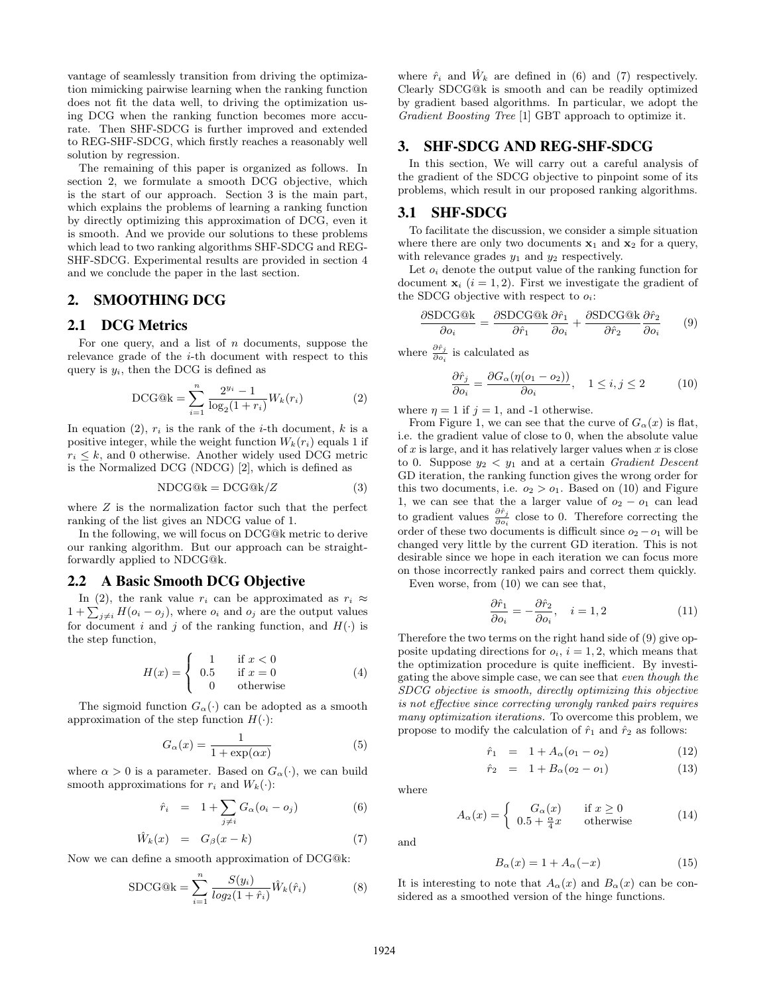vantage of seamlessly transition from driving the optimization mimicking pairwise learning when the ranking function does not fit the data well, to driving the optimization using DCG when the ranking function becomes more accurate. Then SHF-SDCG is further improved and extended to REG-SHF-SDCG, which firstly reaches a reasonably well solution by regression.

The remaining of this paper is organized as follows. In section 2, we formulate a smooth DCG objective, which is the start of our approach. Section 3 is the main part, which explains the problems of learning a ranking function by directly optimizing this approximation of DCG, even it is smooth. And we provide our solutions to these problems which lead to two ranking algorithms SHF-SDCG and REG-SHF-SDCG. Experimental results are provided in section 4 and we conclude the paper in the last section.

### 2. SMOOTHING DCG

#### 2.1 DCG Metrics

For one query, and a list of  $n$  documents, suppose the relevance grade of the  $i$ -th document with respect to this query is  $y_i$ , then the DCG is defined as

DCG@k = 
$$
\sum_{i=1}^{n} \frac{2^{y_i} - 1}{\log_2(1 + r_i)} W_k(r_i)
$$
 (2)

In equation (2),  $r_i$  is the rank of the *i*-th document, *k* is a positive integer, while the weight function  $W_k(r_i)$  equals 1 if  $r_i \leq k$ , and 0 otherwise. Another widely used DCG metric is the Normalized DCG (NDCG) [2], which is defined as

$$
NDCG@k = DCG@k/Z \tag{3}
$$

where  $Z$  is the normalization factor such that the perfect ranking of the list gives an NDCG value of 1.

In the following, we will focus on DCG@k metric to derive our ranking algorithm. But our approach can be straightforwardly applied to NDCG@k.

#### 2.2 A Basic Smooth DCG Objective

In (2), the rank value  $r_i$  can be approximated as  $r_i \approx$ In (2), the rank value  $r_i$  can be approximated as  $r_i \approx 1 + \sum_{j \neq i} H(o_i - o_j)$ , where  $o_i$  and  $o_j$  are the output values for document i and j of the ranking function, and  $H(\cdot)$  is the step function,  $\overline{a}$ 

$$
H(x) = \begin{cases} 1 & \text{if } x < 0\\ 0.5 & \text{if } x = 0\\ 0 & \text{otherwise} \end{cases}
$$
 (4)

The sigmoid function  $G_{\alpha}(\cdot)$  can be adopted as a smooth approximation of the step function  $H(\cdot)$ :

$$
G_{\alpha}(x) = \frac{1}{1 + \exp(\alpha x)}
$$
 (5)

where  $\alpha > 0$  is a parameter. Based on  $G_{\alpha}(\cdot)$ , we can build smooth approximations for  $r_i$  and  $W_k(\cdot)$ :

$$
\hat{r}_i = 1 + \sum_{j \neq i} G_{\alpha} (o_i - o_j) \tag{6}
$$

$$
\hat{W}_k(x) = G_\beta(x-k) \tag{7}
$$

Now we can define a smooth approximation of DCG@k:

$$
SDCG@k = \sum_{i=1}^{n} \frac{S(y_i)}{\log_2(1+\hat{r}_i)} \hat{W}_k(\hat{r}_i)
$$
(8)

where  $\hat{r}_i$  and  $\hat{W}_k$  are defined in (6) and (7) respectively. Clearly SDCG@k is smooth and can be readily optimized by gradient based algorithms. In particular, we adopt the Gradient Boosting Tree [1] GBT approach to optimize it.

#### 3. SHF-SDCG AND REG-SHF-SDCG

In this section, We will carry out a careful analysis of the gradient of the SDCG objective to pinpoint some of its problems, which result in our proposed ranking algorithms.

#### 3.1 SHF-SDCG

To facilitate the discussion, we consider a simple situation where there are only two documents  $x_1$  and  $x_2$  for a query, with relevance grades  $y_1$  and  $y_2$  respectively.

Let  $o_i$  denote the output value of the ranking function for document  $\mathbf{x}_i$  ( $i = 1, 2$ ). First we investigate the gradient of the SDCG objective with respect to  $o_i$ :

$$
\frac{\partial \text{SDCG@k}}{\partial o_i} = \frac{\partial \text{SDCG@k}}{\partial \hat{r}_1} \frac{\partial \hat{r}_1}{\partial o_i} + \frac{\partial \text{SDCG@k}}{\partial \hat{r}_2} \frac{\partial \hat{r}_2}{\partial o_i} \qquad (9)
$$

where  $\frac{\partial \hat{r}_j}{\partial o_i}$  is calculated as

$$
\frac{\partial \hat{r}_j}{\partial o_i} = \frac{\partial G_{\alpha}(\eta(o_1 - o_2))}{\partial o_i}, \quad 1 \le i, j \le 2 \tag{10}
$$

where  $\eta = 1$  if  $j = 1$ , and -1 otherwise.

From Figure 1, we can see that the curve of  $G_{\alpha}(x)$  is flat, i.e. the gradient value of close to 0, when the absolute value of  $x$  is large, and it has relatively larger values when  $x$  is close to 0. Suppose  $y_2 < y_1$  and at a certain *Gradient Descent* GD iteration, the ranking function gives the wrong order for this two documents, i.e.  $o_2 > o_1$ . Based on (10) and Figure 1, we can see that the a larger value of  $o_2 - o_1$  can lead to gradient values  $\frac{\partial \hat{r}_j}{\partial o_i}$  close to 0. Therefore correcting the order of these two documents is difficult since  $o_2 - o_1$  will be changed very little by the current GD iteration. This is not desirable since we hope in each iteration we can focus more on those incorrectly ranked pairs and correct them quickly.

Even worse, from (10) we can see that,

$$
\frac{\partial \hat{r}_1}{\partial o_i} = -\frac{\partial \hat{r}_2}{\partial o_i}, \quad i = 1, 2 \tag{11}
$$

Therefore the two terms on the right hand side of (9) give opposite updating directions for  $o_i$ ,  $i = 1, 2$ , which means that the optimization procedure is quite inefficient. By investigating the above simple case, we can see that even though the SDCG objective is smooth, directly optimizing this objective is not effective since correcting wrongly ranked pairs requires many optimization iterations. To overcome this problem, we propose to modify the calculation of  $\hat{r}_1$  and  $\hat{r}_2$  as follows:

$$
\hat{r}_1 = 1 + A_{\alpha}(o_1 - o_2) \tag{12}
$$

$$
\hat{r}_2 = 1 + B_\alpha (o_2 - o_1) \tag{13}
$$

where

and

$$
A_{\alpha}(x) = \begin{cases} G_{\alpha}(x) & \text{if } x \ge 0\\ 0.5 + \frac{\alpha}{4}x & \text{otherwise} \end{cases}
$$
 (14)

 $B_{\alpha}(x) = 1 + A_{\alpha}(-x)$  (15)

It is interesting to note that  $A_{\alpha}(x)$  and  $B_{\alpha}(x)$  can be considered as a smoothed version of the hinge functions.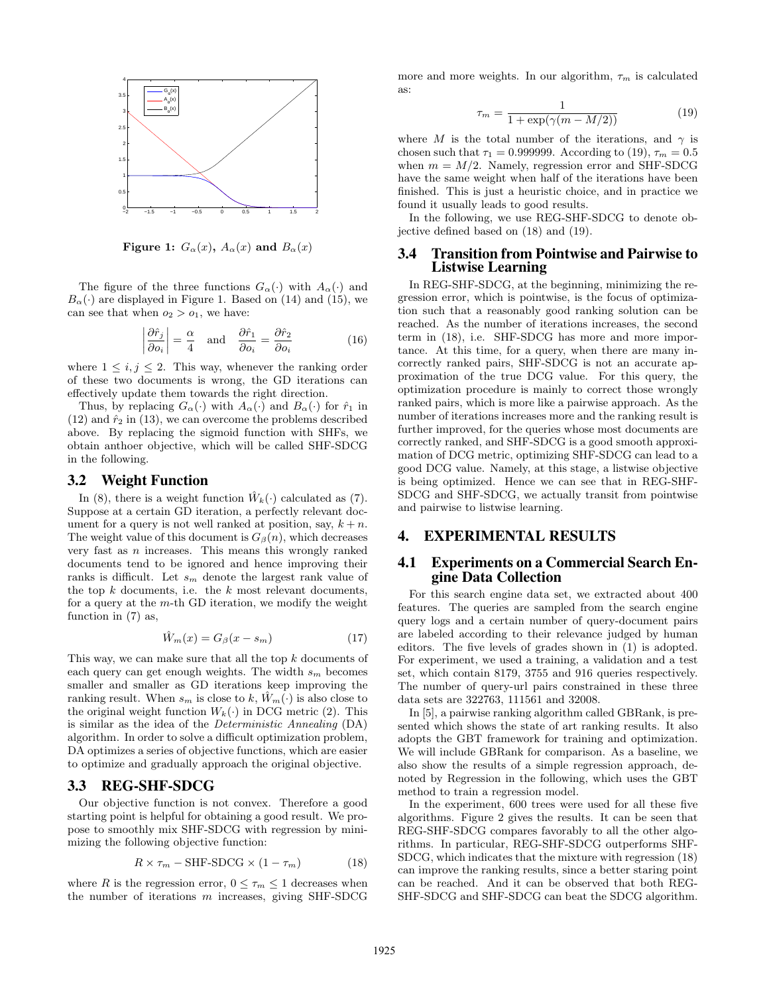

Figure 1:  $G_{\alpha}(x)$ ,  $A_{\alpha}(x)$  and  $B_{\alpha}(x)$ 

The figure of the three functions  $G_{\alpha}(\cdot)$  with  $A_{\alpha}(\cdot)$  and  $B_{\alpha}(\cdot)$  are displayed in Figure 1. Based on (14) and (15), we can see that when  $o_2 > o_1$ , we have:

$$
\left|\frac{\partial \hat{r}_j}{\partial o_i}\right| = \frac{\alpha}{4} \quad \text{and} \quad \frac{\partial \hat{r}_1}{\partial o_i} = \frac{\partial \hat{r}_2}{\partial o_i} \tag{16}
$$

where  $1 \leq i, j \leq 2$ . This way, whenever the ranking order of these two documents is wrong, the GD iterations can effectively update them towards the right direction.

Thus, by replacing  $G_{\alpha}(\cdot)$  with  $A_{\alpha}(\cdot)$  and  $B_{\alpha}(\cdot)$  for  $\hat{r}_1$  in  $(12)$  and  $\hat{r}_2$  in  $(13)$ , we can overcome the problems described above. By replacing the sigmoid function with SHFs, we obtain anthoer objective, which will be called SHF-SDCG in the following.

#### 3.2 Weight Function

In (8), there is a weight function  $\hat{W}_k(\cdot)$  calculated as (7). Suppose at a certain GD iteration, a perfectly relevant document for a query is not well ranked at position, say,  $k + n$ . The weight value of this document is  $G_\beta(n)$ , which decreases very fast as  $n$  increases. This means this wrongly ranked documents tend to be ignored and hence improving their ranks is difficult. Let  $s_m$  denote the largest rank value of the top  $k$  documents, i.e. the  $k$  most relevant documents, for a query at the m-th GD iteration, we modify the weight function in (7) as,

$$
\hat{W}_m(x) = G_\beta(x - s_m) \tag{17}
$$

This way, we can make sure that all the top k documents of each query can get enough weights. The width  $s_m$  becomes smaller and smaller as GD iterations keep improving the ranking result. When  $s_m$  is close to k,  $W_m(\cdot)$  is also close to the original weight function  $W_k(\cdot)$  in DCG metric (2). This is similar as the idea of the Deterministic Annealing (DA) algorithm. In order to solve a difficult optimization problem, DA optimizes a series of objective functions, which are easier to optimize and gradually approach the original objective.

#### 3.3 REG-SHF-SDCG

Our objective function is not convex. Therefore a good starting point is helpful for obtaining a good result. We propose to smoothly mix SHF-SDCG with regression by minimizing the following objective function:

$$
R \times \tau_m - \text{SHF-SDCG} \times (1 - \tau_m) \tag{18}
$$

where R is the regression error,  $0 \leq \tau_m \leq 1$  decreases when the number of iterations  $m$  increases, giving SHF-SDCG

more and more weights. In our algorithm,  $\tau_m$  is calculated as:

$$
\tau_m = \frac{1}{1 + \exp(\gamma(m - M/2))}
$$
(19)

where M is the total number of the iterations, and  $\gamma$  is chosen such that  $\tau_1 = 0.999999$ . According to (19),  $\tau_m = 0.5$ when  $m = M/2$ . Namely, regression error and SHF-SDCG have the same weight when half of the iterations have been finished. This is just a heuristic choice, and in practice we found it usually leads to good results.

In the following, we use REG-SHF-SDCG to denote objective defined based on (18) and (19).

#### 3.4 Transition from Pointwise and Pairwise to Listwise Learning

In REG-SHF-SDCG, at the beginning, minimizing the regression error, which is pointwise, is the focus of optimization such that a reasonably good ranking solution can be reached. As the number of iterations increases, the second term in (18), i.e. SHF-SDCG has more and more importance. At this time, for a query, when there are many incorrectly ranked pairs, SHF-SDCG is not an accurate approximation of the true DCG value. For this query, the optimization procedure is mainly to correct those wrongly ranked pairs, which is more like a pairwise approach. As the number of iterations increases more and the ranking result is further improved, for the queries whose most documents are correctly ranked, and SHF-SDCG is a good smooth approximation of DCG metric, optimizing SHF-SDCG can lead to a good DCG value. Namely, at this stage, a listwise objective is being optimized. Hence we can see that in REG-SHF-SDCG and SHF-SDCG, we actually transit from pointwise and pairwise to listwise learning.

#### 4. EXPERIMENTAL RESULTS

#### 4.1 Experiments on a Commercial Search Engine Data Collection

For this search engine data set, we extracted about 400 features. The queries are sampled from the search engine query logs and a certain number of query-document pairs are labeled according to their relevance judged by human editors. The five levels of grades shown in (1) is adopted. For experiment, we used a training, a validation and a test set, which contain 8179, 3755 and 916 queries respectively. The number of query-url pairs constrained in these three data sets are 322763, 111561 and 32008.

In [5], a pairwise ranking algorithm called GBRank, is presented which shows the state of art ranking results. It also adopts the GBT framework for training and optimization. We will include GBRank for comparison. As a baseline, we also show the results of a simple regression approach, denoted by Regression in the following, which uses the GBT method to train a regression model.

In the experiment, 600 trees were used for all these five algorithms. Figure 2 gives the results. It can be seen that REG-SHF-SDCG compares favorably to all the other algorithms. In particular, REG-SHF-SDCG outperforms SHF-SDCG, which indicates that the mixture with regression (18) can improve the ranking results, since a better staring point can be reached. And it can be observed that both REG-SHF-SDCG and SHF-SDCG can beat the SDCG algorithm.